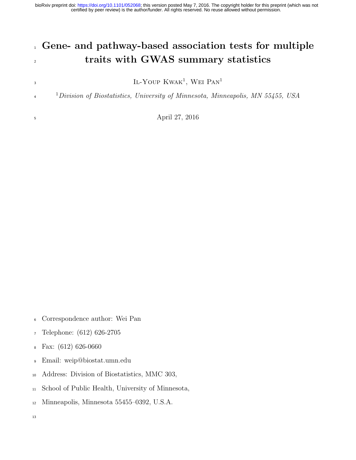certified by peer review) is the author/funder. All rights reserved. No reuse allowed without permission. bioRxiv preprint doi: [https://doi.org/10.1101/052068;](https://doi.org/10.1101/052068) this version posted May 7, 2016. The copyright holder for this preprint (which was not

# Gene- and pathway-based association tests for multiple 2 traits with GWAS summary statistics

IL-YOUP KWAK<sup>1</sup>, WEI PAN<sup>1</sup>

 <sup>1</sup>Division of Biostatistics, University of Minnesota, Minneapolis, MN 55455, USA

April 27, 2016

- Correspondence author: Wei Pan
- Telephone: (612) 626-2705
- Fax: (612) 626-0660
- Email: weip@biostat.umn.edu
- Address: Division of Biostatistics, MMC 303,
- School of Public Health, University of Minnesota,
- Minneapolis, Minnesota 55455–0392, U.S.A.
-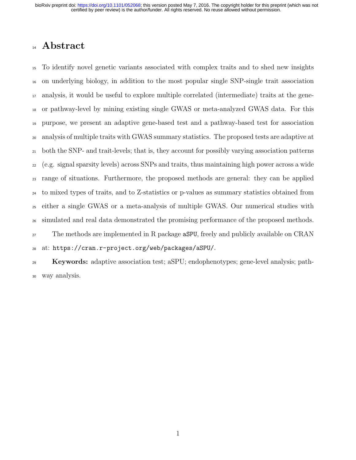## 14 Abstract

 To identify novel genetic variants associated with complex traits and to shed new insights on underlying biology, in addition to the most popular single SNP-single trait association analysis, it would be useful to explore multiple correlated (intermediate) traits at the gene- or pathway-level by mining existing single GWAS or meta-analyzed GWAS data. For this purpose, we present an adaptive gene-based test and a pathway-based test for association analysis of multiple traits with GWAS summary statistics. The proposed tests are adaptive at both the SNP- and trait-levels; that is, they account for possibly varying association patterns (e.g. signal sparsity levels) across SNPs and traits, thus maintaining high power across a wide range of situations. Furthermore, the proposed methods are general: they can be applied to mixed types of traits, and to Z-statistics or p-values as summary statistics obtained from either a single GWAS or a meta-analysis of multiple GWAS. Our numerical studies with simulated and real data demonstrated the promising performance of the proposed methods. The methods are implemented in R package aSPU, freely and publicly available on CRAN at: https://cran.r-project.org/web/packages/aSPU/.

 Keywords: adaptive association test; aSPU; endophenotypes; gene-level analysis; path-way analysis.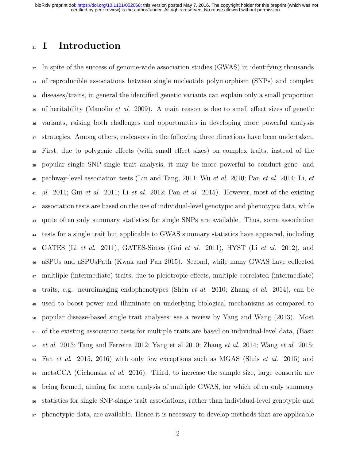### 31 1 Introduction

 In spite of the success of genome-wide association studies (GWAS) in identifying thousands of reproducible associations between single nucleotide polymorphism (SNPs) and complex diseases/traits, in general the identified genetic variants can explain only a small proportion of heritability (Manolio *et al.* 2009). A main reason is due to small effect sizes of genetic variants, raising both challenges and opportunities in developing more powerful analysis strategies. Among others, endeavors in the following three directions have been undertaken. First, due to polygenic effects (with small effect sizes) on complex traits, instead of the popular single SNP-single trait analysis, it may be more powerful to conduct gene- and pathway-level association tests (Lin and Tang, 2011; Wu et al. 2010; Pan et al. 2014; Li, et 41 al. 2011; Gui et al. 2011; Li et al. 2012; Pan et al. 2015). However, most of the existing association tests are based on the use of individual-level genotypic and phenotypic data, while quite often only summary statistics for single SNPs are available. Thus, some association tests for a single trait but applicable to GWAS summary statistics have appeared, including GATES (Li et al. 2011), GATES-Simes (Gui et al. 2011), HYST (Li et al. 2012), and aSPUs and aSPUsPath (Kwak and Pan 2015). Second, while many GWAS have collected multliple (intermediate) traits, due to pleiotropic effects, multiple correlated (intermediate) 48 traits, e.g. neuroimaging endophenotypes (Shen *et al.* 2010; Zhang *et al.* 2014), can be used to boost power and illuminate on underlying biological mechanisms as compared to popular disease-based single trait analyses; see a review by Yang and Wang (2013). Most of the existing association tests for multiple traits are based on individual-level data, (Basu et al. 2013; Tang and Ferreira 2012; Yang et al 2010; Zhang et al. 2014; Wang et al. 2015; Fan et al. 2015, 2016) with only few exceptions such as MGAS (Sluis et al. 2015) and  $_{54}$  metaCCA (Cichonska *et al.* 2016). Third, to increase the sample size, large consortia are being formed, aiming for meta analysis of multiple GWAS, for which often only summary statistics for single SNP-single trait associations, rather than individual-level genotypic and phenotypic data, are available. Hence it is necessary to develop methods that are applicable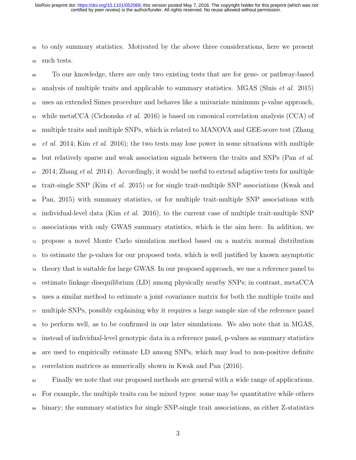to only summary statistics. Motivated by the above three considerations, here we present such tests.

 To our knowledge, there are only two existing tests that are for gene- or pathway-based analysis of multiple traits and applicable to summary statistics. MGAS (Sluis *et al.* 2015) uses an extended Simes procedure and behaves like a univariate minimum p-value approach, 63 while metaCCA (Cichonska *et al.* 2016) is based on canonical correlation analysis (CCA) of multiple traits and multiple SNPs, which is related to MANOVA and GEE-score test (Zhang et al. 2014; Kim et al. 2016); the two tests may lose power in some situations with multiple <sup>66</sup> but relatively sparse and weak association signals between the traits and SNPs (Pan *et al.*)  $67 \quad 2014$ ; Zhang *et al.* 2014). Accordingly, it would be useful to extend adaptive tests for multiple  $\epsilon_{\rm s}$  trait-single SNP (Kim *et al.* 2015) or for single trait-multiple SNP associations (Kwak and Pan, 2015) with summary statistics, or for multiple trait-multiple SNP associations with  $\sigma$  individual-level data (Kim *et al.* 2016), to the current case of multiple trait-multiple SNP associations with only GWAS summary statistics, which is the aim here. In addition, we propose a novel Monte Carlo simulation method based on a matrix normal distribution to estimate the p-values for our proposed tests, which is well justified by known asymptotic theory that is suitable for large GWAS. In our proposed approach, we use a reference panel to estimate linkage disequilibrium (LD) among physically nearby SNPs; in contrast, metaCCA uses a similar method to estimate a joint covariance matrix for both the multiple traits and  $\pi$  multiple SNPs, possibly explaining why it requires a large sample size of the reference panel to perform well, as to be confirmed in our later simulations. We also note that in MGAS, instead of individual-level genotypic data in a reference panel, p-values as summary statistics are used to empirically estimate LD among SNPs, which may lead to non-positive definite 81 correlation matrices as numerically shown in Kwak and Pan (2016).

<sup>82</sup> Finally we note that our proposed methods are general with a wide range of applications. For example, the multiple traits can be mixed types: some may be quantitative while others <sup>84</sup> binary; the summary statistics for single SNP-single trait associations, as either Z-statistics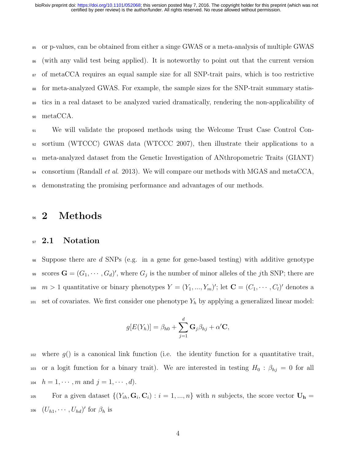or p-values, can be obtained from either a singe GWAS or a meta-analysis of multiple GWAS (with any valid test being applied). It is noteworthy to point out that the current version of metaCCA requires an equal sample size for all SNP-trait pairs, which is too restrictive for meta-analyzed GWAS. For example, the sample sizes for the SNP-trait summary statis- tics in a real dataset to be analyzed varied dramatically, rendering the non-applicability of <sup>90</sup> metaCCA.

 We will validate the proposed methods using the Welcome Trust Case Control Con- sortium (WTCCC) GWAS data (WTCCC 2007), then illustrate their applications to a meta-analyzed dataset from the Genetic Investigation of ANthropometric Traits (GIANT)  $_{94}$  consortium (Randall *et al.* 2013). We will compare our methods with MGAS and metaCCA, demonstrating the promising performance and advantages of our methods.

### <sup>96</sup> 2 Methods

### 97 2.1 Notation

<sup>98</sup> Suppose there are d SNPs (e.g. in a gene for gene-based testing) with additive genotype scores  $\mathbf{G} = (G_1, \dots, G_d)'$ , where  $G_j$  is the number of minor alleles of the jth SNP; there are 100  $m > 1$  quantitative or binary phenotypes  $Y = (Y_1, ..., Y_m)'$ ; let  $\mathbf{C} = (C_1, ..., C_l)'$  denotes a  $101$  set of covariates. We first consider one phenotype  $Y_h$  by applying a generalized linear model:

$$
g[E(Y_h)] = \beta_{h0} + \sum_{j=1}^d \mathbf{G}_j \beta_{hj} + \alpha' \mathbf{C},
$$

 $102$  where  $g()$  is a canonical link function (i.e. the identity function for a quantitative trait, 103 or a logit function for a binary trait). We are interested in testing  $H_0$ :  $\beta_{hj} = 0$  for all 104  $h = 1, \dots, m$  and  $j = 1, \dots, d$ .

<sup>105</sup> For a given dataset  $\{(Y_{ih}, \mathbf{G}_i, \mathbf{C}_i) : i = 1, ..., n\}$  with n subjects, the score vector  $\mathbf{U}_h =$ 106  $(U_{h1}, \cdots, U_{hd})'$  for  $\beta_h$  is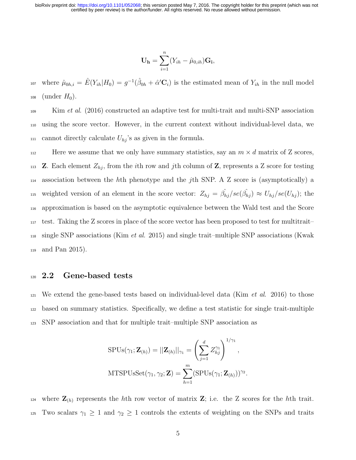$$
\mathbf{U}_{\mathbf{h}} = \sum_{i=1}^{n} (Y_{ih} - \hat{\mu}_{0,ih}) \mathbf{G}_{\mathbf{i}},
$$

<sup>107</sup> where  $\hat{\mu}_{0h,i} = \hat{E}(Y_{ih}|H_0) = g^{-1}(\hat{\beta}_{0h} + \hat{\alpha}'\mathbf{C}_i)$  is the estimated mean of  $Y_{ih}$  in the null model 108 (under  $H_0$ ).

 $\frac{1}{109}$  Kim *et al.* (2016) constructed an adaptive test for multi-trait and multi-SNP association <sup>110</sup> using the score vector. However, in the current context without individual-level data, we  $_{111}$  cannot directly calculate  $U_{hj}$ 's as given in the formula.

112 Here we assume that we only have summary statistics, say an  $m \times d$  matrix of Z scores, 113 **Z**. Each element  $Z_{hj}$ , from the *i*th row and *j*th column of **Z**, represents a Z score for testing  $_{114}$  association between the hth phenotype and the jth SNP. A Z score is (asymptotically) a the weighted version of an element in the score vector:  $Z_{hj} = \hat{\beta_{hj}}/se(\hat{\beta_{hj}}) \approx U_{hj}/se(U_{hj})$ ; the <sup>116</sup> approximation is based on the asymptotic equivalence between the Wald test and the Score <sup>117</sup> test. Taking the Z scores in place of the score vector has been proposed to test for multitrait–  $_{118}$  single SNP associations (Kim *et al.* 2015) and single trait–multiple SNP associations (Kwak <sup>119</sup> and Pan 2015).

#### 120 2.2 Gene-based tests

 $121$  We extend the gene-based tests based on individual-level data (Kim *et al.* 2016) to those <sup>122</sup> based on summary statistics. Specifically, we define a test statistic for single trait-multiple <sup>123</sup> SNP association and that for multiple trait–multiple SNP association as

$$
SPUs(\gamma_1; \mathbf{Z}_{(h)}) = ||\mathbf{Z}_{(h)}||_{\gamma_1} = \left(\sum_{j=1}^d Z_{hj}^{\gamma_1}\right)^{1/\gamma_1},
$$
  
MTSPUsSet( $\gamma_1, \gamma_2; \mathbf{Z}$ ) =  $\sum_{h=1}^m (SPUs(\gamma_1; \mathbf{Z}_{(h)}))^{\gamma_2}.$ 

<sup>124</sup> where  $\mathbf{Z}_{(h)}$  represents the hth row vector of matrix  $\mathbf{Z}$ ; i.e. the Z scores for the hth trait. 125 Two scalars  $\gamma_1 \geq 1$  and  $\gamma_2 \geq 1$  controls the extents of weighting on the SNPs and traits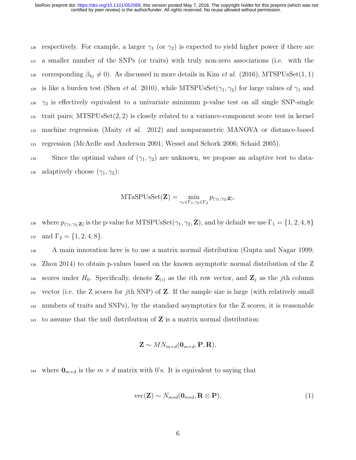126 respectively. For example, a larger  $\gamma_1$  (or  $\gamma_2$ ) is expected to yield higher power if there are <sup>127</sup> a smaller number of the SNPs (or traits) with truly non-zero associations (i.e. with the 128 corresponding  $\beta_{hj} \neq 0$ ). As discussed in more details in Kim *et al.* (2016), MTSPUsSet(1, 1) 129 is like a burden test (Shen *et al.* 2010), while MTSPUsSet( $\gamma_1, \gamma_2$ ) for large values of  $\gamma_1$  and 130  $\gamma_2$  is effectively equivalent to a univariate minimum p-value test on all single SNP-single <sup>131</sup> trait pairs; MTSPUsSet(2, 2) is closely related to a variance-component score test in kernel  $_{132}$  machine regression (Maity *et al.* 2012) and nonparametric MANOVA or distance-based <sup>133</sup> regression (McArdle and Anderson 2001; Wessel and Schork 2006; Schaid 2005).

134 Since the optimal values of  $(\gamma_1, \gamma_2)$  are unknown, we propose an adaptive test to data-135 adaptively choose  $(\gamma_1, \gamma_2)$ :

$$
\mathrm{MTaSPUsSet}(\mathbf{Z}) = \min_{\gamma_1 \in \Gamma_1, \gamma_2 \in \Gamma_2} p_{(\gamma_1, \gamma_2, \mathbf{Z})},
$$

<sup>136</sup> where  $p_{(\gamma_1,\gamma_2,\mathbf{Z})}$  is the p-value for MTSPUsSet $(\gamma_1,\gamma_2,\mathbf{Z})$ , and by default we use  $\Gamma_1 = \{1,2,4,8\}$ 137 and  $\Gamma_2 = \{1, 2, 4, 8\}.$ 

 A main innovation here is to use a matrix normal distribution (Gupta and Nagar 1999; Zhou 2014) to obtain p-values based on the known asymptotic normal distribution of the Z 140 scores under  $H_0$ . Specifically, denote  $\mathbf{Z}_{(i)}$  as the *i*th row vector, and  $\mathbf{Z}_j$  as the *j*th column vector (i.e. the Z scores for jth SNP) of Z. If the sample size is large (with relatively small numbers of traits and SNPs), by the standard asymptotics for the Z scores, it is reasonable 143 to assume that the null distribution of  $Z$  is a matrix normal distribution:

$$
\mathbf{Z} \sim MN_{m \times d}(\mathbf{0}_{m \times d}, \mathbf{P}, \mathbf{R}),
$$

<sup>144</sup> where  $\mathbf{0}_{m \times d}$  is the  $m \times d$  matrix with 0's. It is equivalent to saying that

$$
\text{vec}(\mathbf{Z}) \sim N_{m*d}(\mathbf{0}_{m*d}, \mathbf{R} \otimes \mathbf{P}),\tag{1}
$$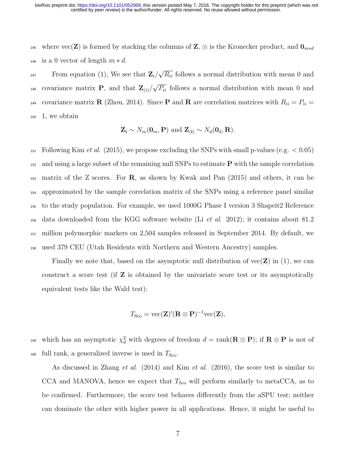145 where vec(Z) is formed by stacking the columns of  $\mathbf{Z}, \otimes$  is the Kronecker product, and  $\mathbf{0}_{m*d}$ 146 is a 0 vector of length  $m * d$ .

From equation (1), We see that  $\mathbf{Z}_i$ / √ From equation (1), We see that  $\mathbf{Z}_i/\sqrt{R_{ii}}$  follows a normal distribution with mean 0 and covariance matrix **P**, and that  $\mathbf{Z}_{(i)}$ √ <sup>148</sup> covariance matrix **P**, and that  $\mathbf{Z}_{(i)}/\sqrt{P_{ii}}$  follows a normal distribution with mean 0 and 149 covariance matrix **R** (Zhou, 2014). Since **P** and **R** are correlation matrices with  $R_{ii} = P_{ii} =$ <sup>150</sup> 1, we obtain

$$
\mathbf{Z_i} \sim N_m(\mathbf{0}_m, \mathbf{P})
$$
 and  $\mathbf{Z_{(i)}} \sim N_d(\mathbf{0}_d, \mathbf{R})$ .

151 Following Kim et al. (2015), we propose excluding the SNPs with small p-values (e.g.  $< 0.05$ ) and using a large subset of the remaining null SNPs to estimate P with the sample correlation 153 matrix of the Z scores. For  $\bf{R}$ , as shown by Kwak and Pan (2015) and others, it can be approximated by the sample correlation matrix of the SNPs using a reference panel similar to the study population. For example, we used 1000G Phase I version 3 Shapeit2 Reference <sup>156</sup> data downloaded from the KGG software website (Li *et al.* 2012); it contains about 81.2 million polymorphic markers on 2,504 samples released in September 2014. By default, we used 379 CEU (Utah Residents with Northern and Western Ancestry) samples.

Finally we note that, based on the asymptotic null distribution of  $vec(\mathbf{Z})$  in (1), we can construct a score test (if  $Z$  is obtained by the univariate score test or its asymptotically equivalent tests like the Wald test):

$$
T_{\rm Sco} = \text{vec}(\mathbf{Z})'(\mathbf{R} \otimes \mathbf{P})^{-1} \text{vec}(\mathbf{Z}),
$$

159 which has an asymptotic  $\chi_d^2$  with degrees of freedom  $d = \text{rank}(\mathbf{R} \otimes \mathbf{P})$ ; if  $\mathbf{R} \otimes \mathbf{P}$  is not of  $_{160}$  full rank, a generalized inverse is used in  $T_{\text{Sco}}$ .

As discussed in Zhang *et al.* (2014) and Kim *et al.* (2016), the score test is similar to CCA and MANOVA, hence we expect that  $T_{\text{Sco}}$  will perform similarly to metaCCA, as to be confirmed. Furthermore, the score test behaves differently from the aSPU test; neither can dominate the other with higher power in all applications. Hence, it might be useful to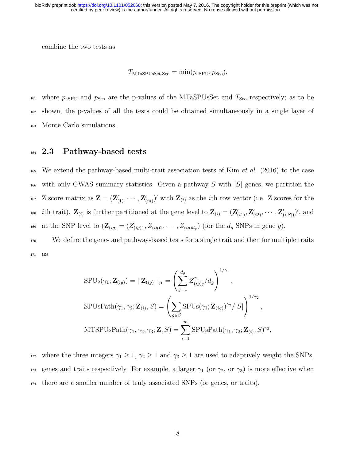combine the two tests as

 $T_{\text{MTaSPUsSet, Sco}} = \min(p_{\text{asPU}}, p_{\text{Sco}}),$ 

<sup>161</sup> where  $p_{\text{asPU}}$  and  $p_{\text{Sco}}$  are the p-values of the MTaSPUsSet and  $T_{\text{Sco}}$  respectively; as to be <sup>162</sup> shown, the p-values of all the tests could be obtained simultaneously in a single layer of <sup>163</sup> Monte Carlo simulations.

#### <sup>164</sup> 2.3 Pathway-based tests

<sup>165</sup> We extend the pathway-based multi-trait association tests of Kim *et al.* (2016) to the case 166 with only GWAS summary statistics. Given a pathway S with  $|S|$  genes, we partition the <sup>167</sup> Z score matrix as  $\mathbf{Z} = (\mathbf{Z}'_{(1)}, \cdots, \mathbf{Z}'_{(m)})'$  with  $\mathbf{Z}_{(i)}$  as the *i*th row vector (i.e. Z scores for the <sup>168</sup> *i*th trait).  $\mathbf{Z}_{(i)}$  is further partitioned at the gene level to  $\mathbf{Z}_{(i)} = (\mathbf{Z}'_{(i1)}, \mathbf{Z}'_{(i2)}, \cdots, \mathbf{Z}'_{(i|S|)})'$ , and <sup>169</sup> at the SNP level to  $(\mathbf{Z}_{(ig)} = (Z_{(ig)1}, Z_{(ig)2}, \cdots, Z_{(ig)d_g})$  (for the  $d_g$  SNPs in gene g).

<sup>170</sup> We define the gene- and pathway-based tests for a single trait and then for multiple traits <sup>171</sup> as

$$
SPUs(\gamma_1; \mathbf{Z}_{(ig)}) = ||\mathbf{Z}_{(ig)}||_{\gamma_1} = \left(\sum_{j=1}^{d_g} Z^{\gamma_1}_{(ig)j}/d_g\right)^{1/\gamma_1},
$$
  
\n
$$
SPUsPath(\gamma_1, \gamma_2; \mathbf{Z}_{(i)}, S) = \left(\sum_{g \in S} SPUs(\gamma_1; \mathbf{Z}_{(ig)})^{\gamma_2}/|S|\right)^{1/\gamma_2},
$$
  
\n
$$
MTSPUsPath(\gamma_1, \gamma_2, \gamma_3; \mathbf{Z}, S) = \sum_{i=1}^{m} SPUsPath(\gamma_1, \gamma_2; \mathbf{Z}_{(i)}, S)^{\gamma_3},
$$

<sup>172</sup> where the three integers  $\gamma_1 \geq 1$ ,  $\gamma_2 \geq 1$  and  $\gamma_3 \geq 1$  are used to adaptively weight the SNPs, 173 genes and traits respectively. For example, a larger  $\gamma_1$  (or  $\gamma_2$ , or  $\gamma_3$ ) is more effective when <sup>174</sup> there are a smaller number of truly associated SNPs (or genes, or traits).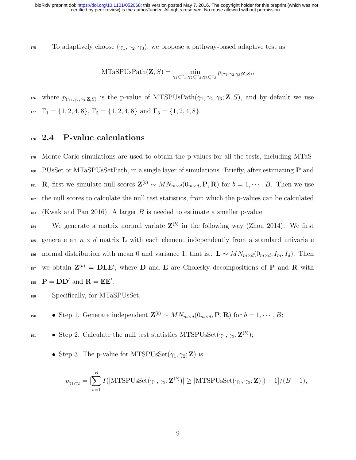175 To adaptively choose  $(\gamma_1, \gamma_2, \gamma_3)$ , we propose a pathway-based adaptive test as

$$
\mathrm{MTaSPUsPath}(\mathbf{Z}, S) = \min_{\gamma_1 \in \Gamma_1, \gamma_2 \in \Gamma_2, \gamma_3 \in \Gamma_3} p_{(\gamma_1, \gamma_2, \gamma_3; \mathbf{Z}, S)},
$$

<sup>176</sup> where  $p_{(\gamma_1,\gamma_2,\gamma_3;\mathbf{Z},S)}$  is the p-value of MTSPUsPath $(\gamma_1,\gamma_2,\gamma_3;\mathbf{Z},S)$ , and by default we use  $\Gamma_{1}$  = {1, 2, 4, 8},  $\Gamma_{2}$  = {1, 2, 4, 8} and  $\Gamma_{3}$  = {1, 2, 4, 8}.

#### <sup>178</sup> 2.4 P-value calculations

 Monte Carlo simulations are used to obtain the p-values for all the tests, including MTaS-<sup>180</sup> PUsSet or MTaSPUsSetPath, in a single layer of simulations. Briefly, after estimating **P** and **R**, first we simulate null scores  $\mathbf{Z}^{(b)} \sim MN_{m \times d}(0_{m \times d}, \mathbf{P}, \mathbf{R})$  for  $b = 1, \cdots, B$ . Then we use the null scores to calculate the null test statistics, from which the p-values can be calculated (Kwak and Pan 2016). A larger B is needed to estimate a smaller p-value.

<sup>184</sup> We generate a matrix normal variate  $\mathbf{Z}^{(b)}$  in the following way (Zhou 2014). We first <sup>185</sup> generate an  $n \times d$  matrix **L** with each element independently from a standard univariate 186 normal distribution with mean 0 and variance 1; that is,.  $\mathbf{L} \sim MN_{m \times d}(0_{m \times d}, I_m, I_d)$ . Then <sup>187</sup> we obtain  $\mathbf{Z}^{(b)} = \mathbf{DLE}'$ , where  $\mathbf D$  and  $\mathbf E$  are Cholesky decompositions of  $\mathbf P$  and  $\mathbf R$  with 188  $\mathbf{P} = \mathbf{D}\mathbf{D}'$  and  $\mathbf{R} = \mathbf{E}\mathbf{E}'$ .

- <sup>189</sup> Specifically, for MTaSPUsSet,
- **•** Step 1. Generate independent  $\mathbf{Z}^{(b)} \sim MN_{m \times d}(0_{m \times d}, \mathbf{P}, \mathbf{R})$  for  $b = 1, \cdots, B;$
- Step 2. Calculate the null test statistics MTSPUsSet $(\gamma_1, \gamma_2, \mathbf{Z}^{(b)})$ ;
	- Step 3. The p-value for MTSPUsSet $(\gamma_1, \gamma_2; \mathbf{Z})$  is

$$
p_{\gamma_1,\gamma_2} = \left[\sum_{b=1}^B I(|\text{MTSPUsSet}(\gamma_1,\gamma_2;\mathbf{Z}^{(b)})| \ge |\text{MTSPUsSet}(\gamma_1,\gamma_2;\mathbf{Z})| \right) + 1]/(B+1),
$$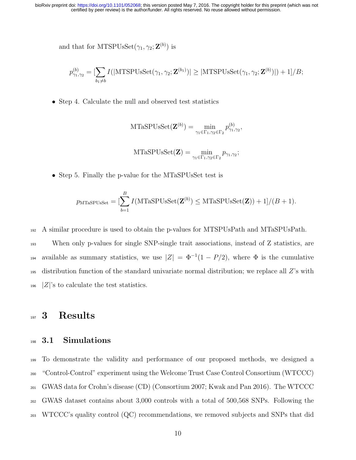and that for MTSPUsSet $(\gamma_1, \gamma_2; \mathbf{Z}^{(b)})$  is

$$
p_{\gamma_1,\gamma_2}^{(b)} = \left[\sum_{b_1 \neq b} I(|\text{MTSPUsSet}(\gamma_1, \gamma_2; \mathbf{Z}^{(b_1)})| \ge |\text{MTSPUsSet}(\gamma_1, \gamma_2; \mathbf{Z}^{(b)})| \right) + 1]/B;
$$

• Step 4. Calculate the null and observed test statistics

$$
\mathrm{MTaSPUsSet}(\mathbf{Z}^{(b)}) = \min_{\gamma_1 \in \Gamma_1, \gamma_2 \in \Gamma_2} p_{\gamma_1, \gamma_2}^{(b)},
$$

$$
\mathrm{MTaSPUsSet}(\mathbf{Z}) = \min_{\gamma_1 \in \Gamma_1, \gamma_2 \in \Gamma_2} p_{\gamma_1, \gamma_2};
$$

• Step 5. Finally the p-value for the MTaSPUsSet test is

$$
p_{\text{MTaSPUsSet}} = \left[\sum_{b=1}^{B} I(\text{MTaSPUsSet}(\mathbf{Z}^{(b)}) \leq \text{MTaSPUsSet}(\mathbf{Z})) + 1\right] / (B + 1).
$$

<sup>192</sup> A similar procedure is used to obtain the p-values for MTSPUsPath and MTaSPUsPath.

 When only p-values for single SNP-single trait associations, instead of Z statistics, are available as summary statistics, we use  $|Z| = \Phi^{-1}(1 - P/2)$ , where  $\Phi$  is the cumulative distribution function of the standard univariate normal distribution; we replace all Z's with |Z|'s to calculate the test statistics.

### 197 3 Results

### <sup>198</sup> 3.1 Simulations

 To demonstrate the validity and performance of our proposed methods, we designed a "Control-Control" experiment using the Welcome Trust Case Control Consortium (WTCCC) GWAS data for Crohn's disease (CD) (Consortium 2007; Kwak and Pan 2016). The WTCCC GWAS dataset contains about 3,000 controls with a total of 500,568 SNPs. Following the WTCCC's quality control (QC) recommendations, we removed subjects and SNPs that did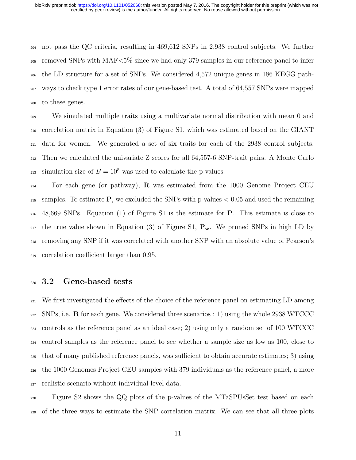not pass the QC criteria, resulting in 469,612 SNPs in 2,938 control subjects. We further removed SNPs with MAF<5% since we had only 379 samples in our reference panel to infer the LD structure for a set of SNPs. We considered 4,572 unique genes in 186 KEGG path- ways to check type 1 error rates of our gene-based test. A total of 64,557 SNPs were mapped to these genes.

 We simulated multiple traits using a multivariate normal distribution with mean 0 and correlation matrix in Equation (3) of Figure S1, which was estimated based on the GIANT data for women. We generated a set of six traits for each of the 2938 control subjects. Then we calculated the univariate Z scores for all 64,557-6 SNP-trait pairs. A Monte Carlo <sup>213</sup> simulation size of  $B = 10^5$  was used to calculate the p-values.

<sup>214</sup> For each gene (or pathway), **R** was estimated from the 1000 Genome Project CEU 215 samples. To estimate **P**, we excluded the SNPs with p-values  $\lt 0.05$  and used the remaining 48,669 SNPs. Equation (1) of Figure S1 is the estimate for P. This estimate is close to <sub>217</sub> the true value shown in Equation (3) of Figure S1,  $P_w$ . We pruned SNPs in high LD by removing any SNP if it was correlated with another SNP with an absolute value of Pearson's correlation coefficient larger than 0.95.

### 3.2 Gene-based tests

 We first investigated the effects of the choice of the reference panel on estimating LD among SNPs, i.e. **R** for each gene. We considered three scenarios : 1) using the whole 2938 WTCCC controls as the reference panel as an ideal case; 2) using only a random set of 100 WTCCC control samples as the reference panel to see whether a sample size as low as 100, close to that of many published reference panels, was sufficient to obtain accurate estimates; 3) using the 1000 Genomes Project CEU samples with 379 individuals as the reference panel, a more realistic scenario without individual level data.

 Figure S2 shows the QQ plots of the p-values of the MTaSPUsSet test based on each of the three ways to estimate the SNP correlation matrix. We can see that all three plots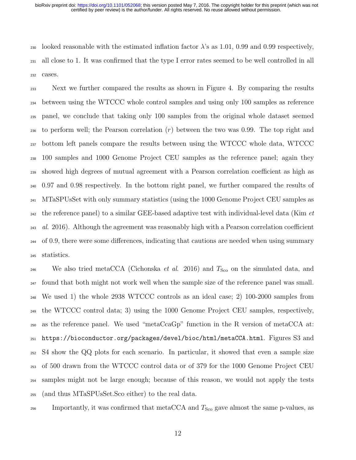#### certified by peer review) is the author/funder. All rights reserved. No reuse allowed without permission. bioRxiv preprint doi: [https://doi.org/10.1101/052068;](https://doi.org/10.1101/052068) this version posted May 7, 2016. The copyright holder for this preprint (which was not

230 looked reasonable with the estimated inflation factor  $\lambda$ 's as 1.01, 0.99 and 0.99 respectively, all close to 1. It was confirmed that the type I error rates seemed to be well controlled in all cases.

 Next we further compared the results as shown in Figure 4. By comparing the results between using the WTCCC whole control samples and using only 100 samples as reference panel, we conclude that taking only 100 samples from the original whole dataset seemed <sub>236</sub> to perform well; the Pearson correlation  $(r)$  between the two was 0.99. The top right and bottom left panels compare the results between using the WTCCC whole data, WTCCC 100 samples and 1000 Genome Project CEU samples as the reference panel; again they showed high degrees of mutual agreement with a Pearson correlation coefficient as high as 0.97 and 0.98 respectively. In the bottom right panel, we further compared the results of MTaSPUsSet with only summary statistics (using the 1000 Genome Project CEU samples as  $_{242}$  the reference panel) to a similar GEE-based adaptive test with individual-level data (Kim *et*)  $_{243}$  al. 2016). Although the agreement was reasonably high with a Pearson correlation coefficient of 0.9, there were some differences, indicating that cautions are needed when using summary statistics.

<sup>246</sup> We also tried metaCCA (Cichonska *et al.* 2016) and  $T_{\rm Sco}$  on the simulated data, and found that both might not work well when the sample size of the reference panel was small. We used 1) the whole 2938 WTCCC controls as an ideal case; 2) 100-2000 samples from the WTCCC control data; 3) using the 1000 Genome Project CEU samples, respectively, as the reference panel. We used "metaCcaGp" function in the R version of metaCCA at: https://bioconductor.org/packages/devel/bioc/html/metaCCA.html. Figures S3 and S4 show the QQ plots for each scenario. In particular, it showed that even a sample size of 500 drawn from the WTCCC control data or of 379 for the 1000 Genome Project CEU samples might not be large enough; because of this reason, we would not apply the tests (and thus MTaSPUsSet.Sco either) to the real data.

<sup>256</sup> Importantly, it was confirmed that metaCCA and  $T_{\text{Sco}}$  gave almost the same p-values, as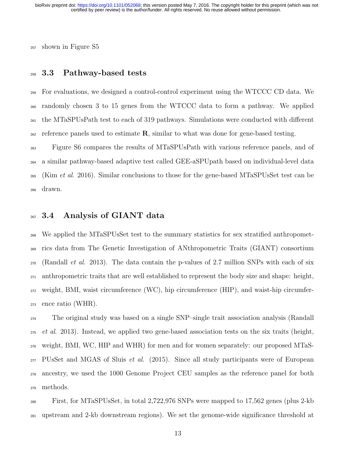shown in Figure S5

#### 3.3 Pathway-based tests

 For evaluations, we designed a control-control experiment using the WTCCC CD data. We randomly chosen 3 to 15 genes from the WTCCC data to form a pathway. We applied the MTaSPUsPath test to each of 319 pathways. Simulations were conducted with different  $_{262}$  reference panels used to estimate  $\bf{R}$ , similar to what was done for gene-based testing.

 Figure S6 compares the results of MTaSPUsPath with various reference panels, and of a similar pathway-based adaptive test called GEE-aSPUpath based on individual-level data <sup>265</sup> (Kim *et al.* 2016). Similar conclusions to those for the gene-based MTaSPUsSet test can be drawn.

#### 267 3.4 Analysis of GIANT data

 We applied the MTaSPUsSet test to the summary statistics for sex stratified anthropomet- rics data from The Genetic Investigation of ANthropometric Traits (GIANT) consortium  $_{270}$  (Randall *et al.* 2013). The data contain the p-values of 2.7 million SNPs with each of six anthropometric traits that are well established to represent the body size and shape: height, weight, BMI, waist circumference (WC), hip circumference (HIP), and waist-hip circumfer-ence ratio (WHR).

 The original study was based on a single SNP–single trait association analysis (Randall et al. 2013). Instead, we applied two gene-based association tests on the six traits (height, weight, BMI, WC, HIP and WHR) for men and for women separately: our proposed MTaS- PUsSet and MGAS of Sluis *et al.* (2015). Since all study participants were of European ancestry, we used the 1000 Genome Project CEU samples as the reference panel for both methods.

 First, for MTaSPUsSet, in total 2,722,976 SNPs were mapped to 17,562 genes (plus 2-kb upstream and 2-kb downstream regions). We set the genome-wide significance threshold at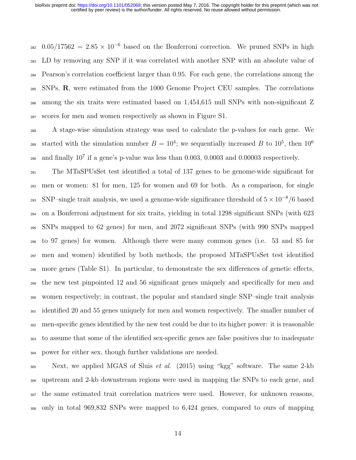$282 \quad 0.05/17562 = 2.85 \times 10^{-6}$  based on the Bonferroni correction. We pruned SNPs in high LD by removing any SNP if it was correlated with another SNP with an absolute value of Pearson's correlation coefficient larger than 0.95. For each gene, the correlations among the SNPs,  $\bf{R}$ , were estimated from the 1000 Genome Project CEU samples. The correlations among the six traits were estimated based on 1,454,615 null SNPs with non-significant Z scores for men and women respectively as shown in Figure S1.

 A stage-wise simulation strategy was used to calculate the p-values for each gene. We started with the simulation number  $B = 10^4$ ; we sequentially increased B to  $10^5$ , then  $10^6$  290 and finally  $10^7$  if a gene's p-value was less than 0.003, 0.0003 and 0.00003 respectively.

 The MTaSPUsSet test identified a total of 137 genes to be genome-wide significant for men or women: 81 for men, 125 for women and 69 for both. As a comparison, for single SNP–single trait analysis, we used a genome-wide significance threshold of  $5 \times 10^{-8}/6$  based on a Bonferroni adjustment for six traits, yielding in total 1298 significant SNPs (with 623 SNPs mapped to 62 genes) for men, and 2072 significant SNPs (with 990 SNPs mapped to 97 genes) for women. Although there were many common genes (i.e. 53 and 85 for men and women) identified by both methods, the proposed MTaSPUsSet test identified more genes (Table S1). In particular, to demonstrate the sex differences of genetic effects, <sub>299</sub> the new test pinpointed 12 and 56 significant genes uniquely and specifically for men and women respectively; in contrast, the popular and standard single SNP–single trait analysis <sup>301</sup> identified 20 and 55 genes uniquely for men and women respectively. The smaller number of men-specific genes identified by the new test could be due to its higher power: it is reasonable to assume that some of the identified sex-specific genes are false positives due to inadequate power for either sex, though further validations are needed.

 Next, we applied MGAS of Sluis *et al.* (2015) using "kgg" software. The same 2-kb upstream and 2-kb downstream regions were used in mapping the SNPs to each gene, and the same estimated trait correlation matrices were used. However, for unknown reasons, only in total 969,832 SNPs were mapped to 6,424 genes, compared to ours of mapping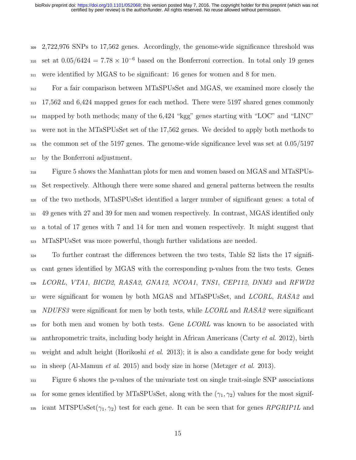2,722,976 SNPs to 17,562 genes. Accordingly, the genome-wide significance threshold was 310 set at  $0.05/6424 = 7.78 \times 10^{-6}$  based on the Bonferroni correction. In total only 19 genes were identified by MGAS to be significant: 16 genes for women and 8 for men.

 For a fair comparison between MTaSPUsSet and MGAS, we examined more closely the 17,562 and 6,424 mapped genes for each method. There were 5197 shared genes commonly mapped by both methods; many of the 6,424 "kgg" genes starting with "LOC" and "LINC" were not in the MTaSPUsSet set of the 17,562 genes. We decided to apply both methods to the common set of the 5197 genes. The genome-wide significance level was set at 0.05/5197 by the Bonferroni adjustment.

 Figure 5 shows the Manhattan plots for men and women based on MGAS and MTaSPUs- Set respectively. Although there were some shared and general patterns between the results of the two methods, MTaSPUsSet identified a larger number of significant genes: a total of 49 genes with 27 and 39 for men and women respectively. In contrast, MGAS identified only a total of 17 genes with 7 and 14 for men and women respectively. It might suggest that MTaSPUsSet was more powerful, though further validations are needed.

 To further contrast the differences between the two tests, Table S2 lists the 17 signifi- cant genes identified by MGAS with the corresponding p-values from the two tests. Genes LCORL, VTA1, BICD2, RASA2, GNA12, NCOA1, TNS1, CEP112, DNM3 and RFWD2 327 were significant for women by both MGAS and MTaSPUsSet, and *LCORL*, RASA2 and NDUFS3 were significant for men by both tests, while LCORL and RASA2 were significant for both men and women by both tests. Gene LCORL was known to be associated with 330 anthropometric traits, including body height in African Americans (Carty *et al.* 2012), birth weight and adult height (Horikoshi *et al.* 2013); it is also a candidate gene for body weight in sheep (Al-Mamun *et al.* 2015) and body size in horse (Metzger *et al.* 2013).

 Figure 6 shows the p-values of the univariate test on single trait-single SNP associations 334 for some genes identified by MTaSPUsSet, along with the  $(\gamma_1, \gamma_2)$  values for the most signif-335 icant MTSPUsSet $(\gamma_1, \gamma_2)$  test for each gene. It can be seen that for genes RPGRIP1L and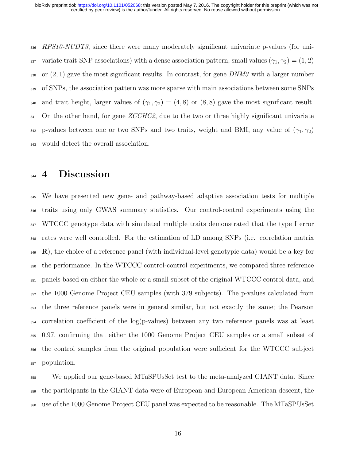336 RPS10-NUDT3, since there were many moderately significant univariate p-values (for uni-337 variate trait-SNP associations) with a dense association pattern, small values  $(\gamma_1, \gamma_2) = (1, 2)$ 338 or  $(2, 1)$  gave the most significant results. In contrast, for gene DNM3 with a larger number of SNPs, the association pattern was more sparse with main associations between some SNPs 340 and trait height, larger values of  $(\gamma_1, \gamma_2) = (4, 8)$  or  $(8, 8)$  gave the most significant result. 341 On the other hand, for gene ZCCHC2, due to the two or three highly significant univariate p-values between one or two SNPs and two traits, weight and BMI, any value of  $(\gamma_1, \gamma_2)$ would detect the overall association.

### **4** Discussion

 We have presented new gene- and pathway-based adaptive association tests for multiple traits using only GWAS summary statistics. Our control-control experiments using the WTCCC genotype data with simulated multiple traits demonstrated that the type I error rates were well controlled. For the estimation of LD among SNPs (i.e. correlation matrix  $\mathbf{R}$ , the choice of a reference panel (with individual-level genotypic data) would be a key for the performance. In the WTCCC control-control experiments, we compared three reference panels based on either the whole or a small subset of the original WTCCC control data, and the 1000 Genome Project CEU samples (with 379 subjects). The p-values calculated from the three reference panels were in general similar, but not exactly the same; the Pearson correlation coefficient of the log(p-values) between any two reference panels was at least 0.97, confirming that either the 1000 Genome Project CEU samples or a small subset of the control samples from the original population were sufficient for the WTCCC subject population.

 We applied our gene-based MTaSPUsSet test to the meta-analyzed GIANT data. Since the participants in the GIANT data were of European and European American descent, the use of the 1000 Genome Project CEU panel was expected to be reasonable. The MTaSPUsSet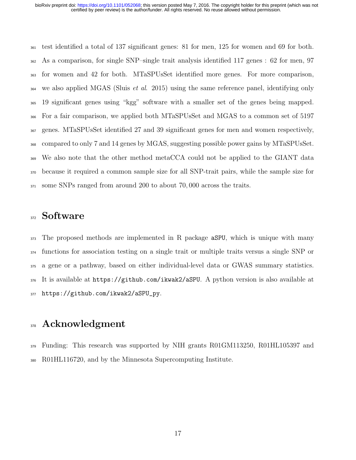test identified a total of 137 significant genes: 81 for men, 125 for women and 69 for both. As a comparison, for single SNP–single trait analysis identified 117 genes : 62 for men, 97 for women and 42 for both. MTaSPUsSet identified more genes. For more comparison, we also applied MGAS (Sluis *et al.* 2015) using the same reference panel, identifying only 19 significant genes using "kgg" software with a smaller set of the genes being mapped. For a fair comparison, we applied both MTaSPUsSet and MGAS to a common set of 5197 genes. MTaSPUsSet identified 27 and 39 significant genes for men and women respectively, compared to only 7 and 14 genes by MGAS, suggesting possible power gains by MTaSPUsSet. We also note that the other method metaCCA could not be applied to the GIANT data because it required a common sample size for all SNP-trait pairs, while the sample size for some SNPs ranged from around 200 to about 70, 000 across the traits.

### 372 Software

 The proposed methods are implemented in R package aSPU, which is unique with many functions for association testing on a single trait or multiple traits versus a single SNP or a gene or a pathway, based on either individual-level data or GWAS summary statistics. It is available at https://github.com/ikwak2/aSPU. A python version is also available at https://github.com/ikwak2/aSPU\_py.

### Acknowledgment

<sub>379</sub> Funding: This research was supported by NIH grants R01GM113250, R01HL105397 and R01HL116720, and by the Minnesota Supercomputing Institute.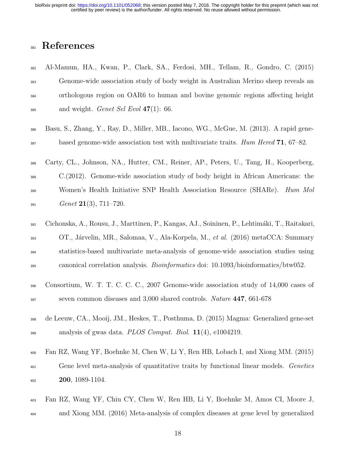certified by peer review) is the author/funder. All rights reserved. No reuse allowed without permission. bioRxiv preprint doi: [https://doi.org/10.1101/052068;](https://doi.org/10.1101/052068) this version posted May 7, 2016. The copyright holder for this preprint (which was not

## References

- Al-Mamun, HA., Kwan, P., Clark, SA., Ferdosi, MH., Tellam, R., Gondro, C. (2015) Genome-wide association study of body weight in Australian Merino sheep reveals an orthologous region on OAR6 to human and bovine genomic regions affecting height  $_{385}$  and weight. *Genet Sel Evol* 47(1): 66.
- Basu, S., Zhang, Y., Ray, D., Miller, MB., Iacono, WG., McGue, M. (2013). A rapid gene- $\frac{387}{387}$  based genome-wide association test with multivariate traits. Hum Hered 71, 67–82.

 Carty, CL., Johnson, NA., Hutter, CM., Reiner, AP., Peters, U., Tang, H., Kooperberg, C.(2012). Genome-wide association study of body height in African Americans: the <sup>390</sup> Women's Health Initiative SNP Health Association Resource (SHARe). Hum Mol Genet 21(3), 711–720.

- Cichonska, A., Rousu, J., Marttinen, P., Kangas, AJ., Soininen, P., Lehtim´aki, T., Raitakari, 393 OT., Járvelin, MR., Salomaa, V., Ala-Korpela, M., et al. (2016) metaCCA: Summary statistics-based multivariate meta-analysis of genome-wide association studies using canonical correlation analysis. Bioinformatics doi: 10.1093/bioinformatics/btw052.
- Consortium, W. T. T. C. C. C., 2007 Genome-wide association study of 14,000 cases of <sup>397</sup> seven common diseases and 3,000 shared controls. *Nature* **447**, 661-678
- de Leeuw, CA., Mooij, JM., Heskes, T., Posthuma, D. (2015) Magma: Generalized gene-set analysis of gwas data. *PLOS Comput. Biol.* 11(4), e1004219.

 Fan RZ, Wang YF, Boehnke M, Chen W, Li Y, Ren HB, Lobach I, and Xiong MM. (2015) <sup>401</sup> Gene level meta-analysis of quantitative traits by functional linear models. Genetics **200**, 1089-1104.

- Fan RZ, Wang YF, Chiu CY, Chen W, Ren HB, Li Y, Boehnke M, Amos CI, Moore J,
- and Xiong MM. (2016) Meta-analysis of complex diseases at gene level by generalized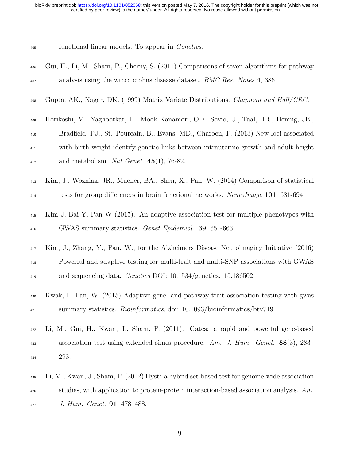certified by peer review) is the author/funder. All rights reserved. No reuse allowed without permission. bioRxiv preprint doi: [https://doi.org/10.1101/052068;](https://doi.org/10.1101/052068) this version posted May 7, 2016. The copyright holder for this preprint (which was not

| 405 | functional linear models. To appear in <i>Genetics</i> . |  |  |  |  |  |
|-----|----------------------------------------------------------|--|--|--|--|--|
|-----|----------------------------------------------------------|--|--|--|--|--|

| 406 | Gui, H., Li, M., Sham, P., Cherny, S. (2011) Comparisons of seven algorithms for pathway    |
|-----|---------------------------------------------------------------------------------------------|
| 407 | analysis using the wtccc crohns disease dataset. BMC Res. Notes 4, 386.                     |
| 408 | Gupta, AK., Nagar, DK. (1999) Matrix Variate Distributions. Chapman and Hall/CRC.           |
| 409 | Horikoshi, M., Yaghootkar, H., Mook-Kanamori, OD., Sovio, U., Taal, HR., Hennig, JB.,       |
| 410 | Bradfield, PJ., St. Pourcain, B., Evans, MD., Charoen, P. (2013) New loci associated        |
| 411 | with birth weight identify genetic links between intrauterine growth and adult height       |
| 412 | and metabolism. Nat Genet. $45(1)$ , 76-82.                                                 |
| 413 | Kim, J., Wozniak, JR., Mueller, BA., Shen, X., Pan, W. (2014) Comparison of statistical     |
| 414 | tests for group differences in brain functional networks. NeuroImage 101, 681-694.          |
| 415 | Kim J, Bai Y, Pan W (2015). An adaptive association test for multiple phenotypes with       |
| 416 | GWAS summary statistics. <i>Genet Epidemiol.</i> , <b>39</b> , 651-663.                     |
| 417 | Kim, J., Zhang, Y., Pan, W., for the Alzheimers Disease Neuroimaging Initiative (2016)      |
| 418 | Powerful and adaptive testing for multi-trait and multi-SNP associations with GWAS          |
| 419 | and sequencing data. Genetics DOI: 10.1534/genetics.115.186502                              |
| 420 | Kwak, I., Pan, W. (2015) Adaptive gene- and pathway-trait association testing with gwas     |
| 421 | summary statistics. <i>Bioinformatics</i> , doi: 10.1093/bioinformatics/btv719.             |
| 422 | Li, M., Gui, H., Kwan, J., Sham, P. (2011). Gates: a rapid and powerful gene-based          |
| 423 | association test using extended simes procedure. Am. J. Hum. Genet. $88(3)$ , 283-          |
| 424 | 293.                                                                                        |
| 425 | Li, M., Kwan, J., Sham, P. (2012) Hyst: a hybrid set-based test for genome-wide association |
| 426 | studies, with application to protein-protein interaction-based association analysis. $Am$ . |
| 427 | J. Hum. Genet. <b>91</b> , 478-488.                                                         |

19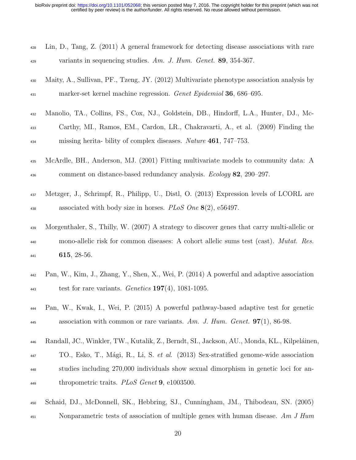| 428 | Lin, D., Tang, Z. (2011) A general framework for detecting disease associations with rare    |
|-----|----------------------------------------------------------------------------------------------|
| 429 | variants in sequencing studies. Am. J. Hum. Genet. $89, 354-367$ .                           |
| 430 | Maity, A., Sullivan, PF., Tzeng, JY. (2012) Multivariate phenotype association analysis by   |
| 431 | marker-set kernel machine regression. Genet Epidemiol 36, 686–695.                           |
| 432 | Manolio, TA., Collins, FS., Cox, NJ., Goldstein, DB., Hindorff, L.A., Hunter, DJ., Mc-       |
| 433 | Carthy, MI., Ramos, EM., Cardon, LR., Chakravarti, A., et al. (2009) Finding the             |
| 434 | missing herita- bility of complex diseases. Nature 461, 747-753.                             |
| 435 | McArdle, BH., Anderson, MJ. (2001) Fitting multivariate models to community data: A          |
| 436 | comment on distance-based redundancy analysis. <i>Ecology</i> 82, 290–297.                   |
| 437 | Metzger, J., Schrimpf, R., Philipp, U., Distl, O. (2013) Expression levels of LCORL are      |
| 438 | associated with body size in horses. PLoS One $8(2)$ , e56497.                               |
| 439 | Morgenthaler, S., Thilly, W. (2007) A strategy to discover genes that carry multi-allelic or |
| 440 | mono-allelic risk for common diseases: A cohort allelic sums test (cast). <i>Mutat. Res.</i> |
| 441 | 615, 28-56.                                                                                  |
| 442 | Pan, W., Kim, J., Zhang, Y., Shen, X., Wei, P. (2014) A powerful and adaptive association    |
| 443 | test for rare variants. <i>Genetics</i> <b>197</b> (4), 1081-1095.                           |
| 444 | Pan, W., Kwak, I., Wei, P. (2015) A powerful pathway-based adaptive test for genetic         |
| 445 | association with common or rare variants. Am. J. Hum. Genet. $97(1)$ , 86-98.                |
| 446 | Randall, JC., Winkler, TW., Kutalik, Z., Berndt, SI., Jackson, AU., Monda, KL., Kilpeláinen, |
| 447 | TO., Esko, T., Mági, R., Li, S. et al. (2013) Sex-stratified genome-wide association         |
| 448 | studies including 270,000 individuals show sexual dimorphism in genetic loci for an-         |
| 449 | thropometric traits. PLoS Genet 9, e1003500.                                                 |
| 450 | Schaid, DJ., McDonnell, SK., Hebbring, SJ., Cunningham, JM., Thibodeau, SN. (2005)           |
| 451 | Nonparametric tests of association of multiple genes with human disease. Am $J$ Hum          |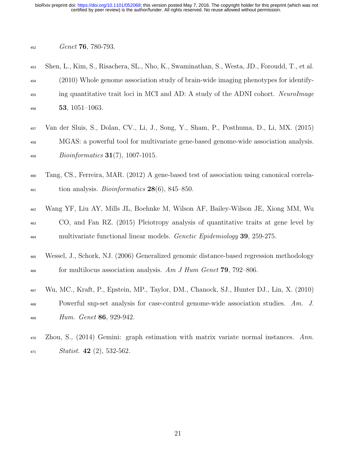certified by peer review) is the author/funder. All rights reserved. No reuse allowed without permission. bioRxiv preprint doi: [https://doi.org/10.1101/052068;](https://doi.org/10.1101/052068) this version posted May 7, 2016. The copyright holder for this preprint (which was not

#### $_{452}$  Genet 76, 780-793.

| 453 | Shen, L., Kim, S., Risachera, SL., Nho, K., Swaminathan, S., Westa, JD., Foroudd, T., et al. |
|-----|----------------------------------------------------------------------------------------------|
| 454 | (2010) Whole genome association study of brain-wide imaging phenotypes for identify-         |
| 455 | ing quantitative trait loci in MCI and AD: A study of the ADNI cohort. NeuroImage            |
| 456 | <b>53</b> , $1051 - 1063$ .                                                                  |

- <sup>457</sup> Van der Sluis, S., Dolan, CV., Li, J., Song, Y., Sham, P., Posthuma, D., Li, MX. (2015) <sup>458</sup> MGAS: a powerful tool for multivariate gene-based genome-wide association analysis.  $459$  Bioinformatics **31**(7), 1007-1015.
- <sup>460</sup> Tang, CS., Ferreira, MAR. (2012) A gene-based test of association using canonical correla- $\frac{461}{461}$  tion analysis. *Bioinformatics* **28**(6), 845–850.
- <sup>462</sup> Wang YF, Liu AY, Mills JL, Boehnke M, Wilson AF, Bailey-Wilson JE, Xiong MM, Wu <sup>463</sup> CO, and Fan RZ. (2015) Pleiotropy analysis of quantitative traits at gene level by <sup>464</sup> multivariate functional linear models. *Genetic Epidemiology* **39**, 259-275.
- <sup>465</sup> Wessel, J., Schork, NJ. (2006) Generalized genomic distance-based regression methodology <sup>466</sup> for multilocus association analysis. Am J Hum Genet **79**, 792–806.
- <sup>467</sup> Wu, MC., Kraft, P., Epstein, MP., Taylor, DM., Chanock, SJ., Hunter DJ., Lin, X. (2010) A68 Powerful snp-set analysis for case-control genome-wide association studies. Am. J.  $_{469}$  Hum. Genet 86, 929-942.
- <sup>470</sup> Zhou, S., (2014) Gemini: graph estimation with matrix variate normal instances. Ann.  $_{471}$  Statist. 42 (2), 532-562.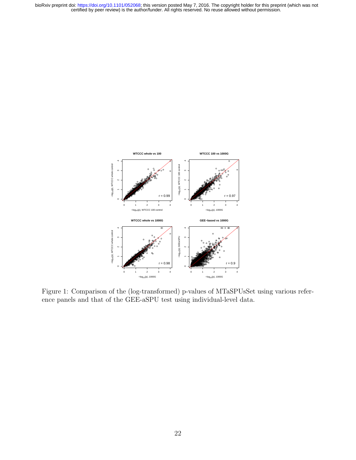bioRxiv preprint doi: https://doi.org/10.1101/052068; this version posted May 7, 2016. The copyright holder for this preprint (which was not certified by peer review) is the author/funder. All rights reserved. No reuse all



Figure 1: Comparison of the (log-transformed) p-values of MTaSPUsSet using various reference panels and that of the GEE-aSPU test using individual-level data.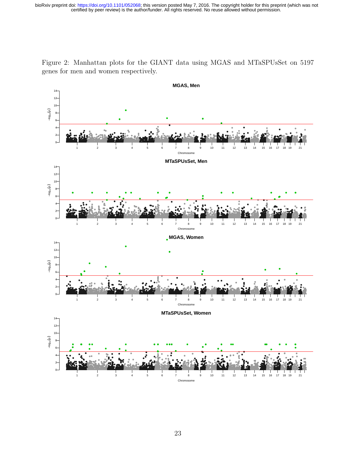bioRxiv preprint doi: https://doi.org/10.1101/052068; this version posted May 7, 2016. The copyright holder for this preprint (which was not certified by peer review) is the author/funder. All rights reserved. No reuse all

Figure 2: Manhattan plots for the GIANT data using MGAS and MTaSPUsSet on 5197 genes for men and women respectively.